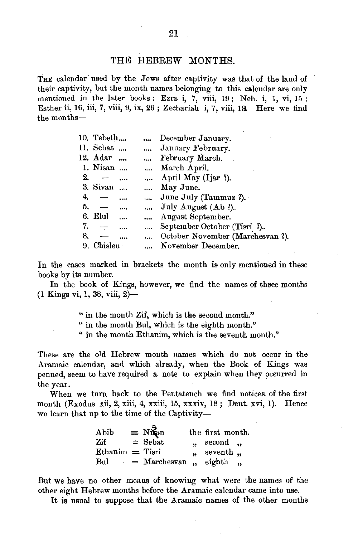THE calendar used by the Jews after captivity was that of the land of their captivity, but the month names belonging to this calendar are only mentioned in the later books: Ezra i, 7, viii, 19; Neh. i, 1, vi, 15; Esther ii, 16, iii, 7, viii, 9, ix, 26; Zechariah i, 7, viii, 19. Here we find the months-

|    | 10. Tebeth               |                          | $\ddotsc$ | December January.                |
|----|--------------------------|--------------------------|-----------|----------------------------------|
|    | 11. Sebat                |                          |           | January February.                |
|    | 12. Adar                 |                          |           | February March.                  |
|    | 1. Nisan                 |                          |           | March April.                     |
| 2. | $\overline{\phantom{a}}$ | $\cdots$                 |           | April May (Ijar ?).              |
|    | 3. Sivan                 |                          |           | May June.                        |
| 4. |                          | $\cdots$                 |           | June July (Tammuz ?).            |
| 5. |                          | $\cdots$                 |           | July August $(Ab ?)$ .           |
|    | 6. Elul                  | $\overline{\phantom{a}}$ | $\cdots$  | August September.                |
| 7. | $\overline{\phantom{0}}$ |                          | $\cdots$  | September October (Tisri ?).     |
| 8. |                          | $\cdots$                 | $\cdots$  | October November (Marchesvan ?). |
| 9. | Chisleu                  |                          |           | November December.               |

In the cases marked in brackets the month is only mentioned in these books by its number.

In the book of Kings, however, we find the names of three months (1 Kings vi, 1, 38, viii, 2)-

> " in the mouth Zif, which is the second month." " in the month Bul, which is the eighth month." " in the month Ethanim, which is the seventh month."

These are the old Hebrew month names which do not occur in the .Aramaic calendar, and which already, when the Book of Kings was penned, seem to have required a note to explain when they occurred in the year.

When we turn back to the Pentateuch we find notices of the first month (Exodus xii, 2, xiii, 4, xxiii, 15, xxxiv, 18; Deut. xvi, 1). Hence we learn that up to the time of the Captivity-

| Abib                 | $= N\ddot{R}$ an       | the first month.           |  |
|----------------------|------------------------|----------------------------|--|
| Zif                  | $=$ Sebat              | $n \cdot$ second $n \cdot$ |  |
| $E$ thanim $=$ Tisri |                        | " seventh "                |  |
| Bul                  | $=$ Marchesvan, eighth |                            |  |

But we have no other means of knowing what were the names of the other eight Hebrew months before the Aramaic calendar came into use.

It is usual to suppose that the Aramaic names of the other months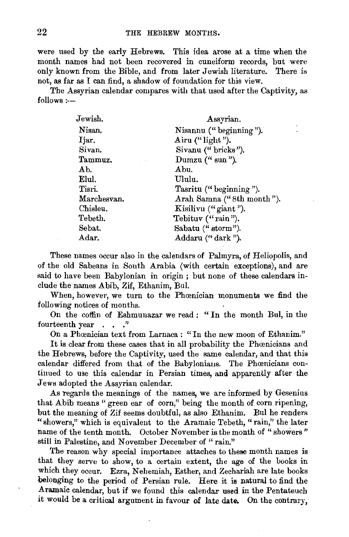were used by the early Hebrews. This idea arose at a time when the month names had not been recovered in cuneiform records, but were only known from the Bible, and from later Jewish literature. There is not, as far as I can find, a shadow of foundation for this view.

The Assyrian calendar compares with that used after the Captivity, as follows:-

| Jewish.        | Assyrian.                 |  |  |
|----------------|---------------------------|--|--|
| Nisan.         | Nisannu ("beginning").    |  |  |
| Ijar.          | Airu $($ " light").       |  |  |
| Sivan.         | Sivanu ("bricks").        |  |  |
| Tammuz.        | Dumzu $($ " sun " $).$    |  |  |
| Ab.            | Abu.                      |  |  |
| Elul.          | Ululu.                    |  |  |
| Tisri.         | Tasritu ("beginning").    |  |  |
| Marchesvan.    | Arah Samna ("8th month"). |  |  |
| Chisleu.       | Kisilivu ("giant").       |  |  |
| Tebeth.        | Tebituv ("rain").         |  |  |
| ${\bf Sebat.}$ | Sabatu ("storm").         |  |  |
| Adar.          | Addaru ("dark").          |  |  |

These names occur also in the calendars of Palmyra, of Heliopolis, and of the old Sabeans in South Arabia (with certain exceptions), and are said to have been Babylonian in origin ; but none of these calendars include the names Abib, Zif, Ethanim, Bul.

When, however, we turn to the Phoenician monuments we find the following notices of months.

On the coffin of Eshmunazar we read : « In the month Bul, in the fourteenth year . . . "

On a Phœnician text from Larnaca : "In the new moon of Ethanim."

It is clear from these cases that in all probability the Phœnicians and the Hebrews, before the Captivity, used the same calendar, and that this calendar differed from that of the Babyloniaus. The Phœnicians continued to use this calendar in Persian times, and apparently after the Jews adopted the Assyrian calendar.

As regards the meanings of the names, we are informed by Gesenius that A bib means " green ear of corn," being the month of corn ripening, but the meaning of Zif seems doubtful, as also Ethanim. Bul he renders "showers," which is equivalent to the Aramaic Tebeth, "rain," the later name of the tenth month. October November is the month of "showers" still in Palestine, and November December of "rain."

The reason why special importance attaches to these month names is that they serve to show, to a certain extent, the age of the books in which they occur. Ezra, Nehemiah, Esther, and Zechariah are late books belonging to the period of Persian rule. Here it is natural to find the Aramaic calendar, but if we found this calendar used in the Pentateuch it would be a critical argument in favour of late date. On the contrary,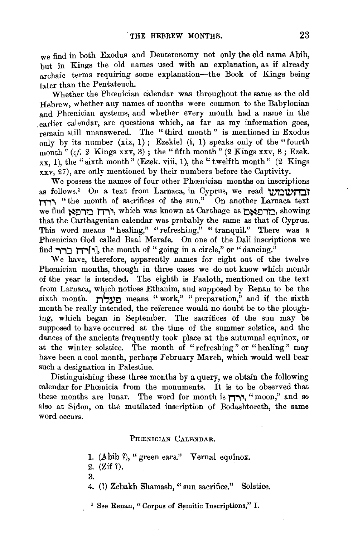we find in both Exodus and Deuteronomy not only the old name Abib, but in Kings the old names used with an explanation, as if already archaic terms requiring some explanation-the Book of Kings being later than the Pentateuch.

Whether the Phœnician calendar was throughout the same as the old Hebrew, whether any names of months were common to the Babylonian and Phœnician systems, and whether every month had a name in the earlier calendar, are questions which, as far as my information goes, remain still unanswered. The " third month " is mentioned in Exodus only by its number  $(xix, 1)$ ; Ezekiel  $(i, 1)$  speaks only of the "fourth" month" (cf. 2 Kings xxv, 3); the "fifth month" (2 Kings xxv, 8; Ezek.  $xx, 1$ ), the "sixth month" (Ezek. viii, 1), the "twelfth month" (2 Kings) xxv, 27), are only mentioned by their numbers before the Captivity.

We possess the names of four other Phoenician months on inscriptions as follows.<sup>1</sup> On a text from Larnaca, in Cyprus, we read  $\forall$ **n.,.,,** "the month of sacrifices of the sun." On another Larnaca text we find **מרפאם** , which was known at Carthage as <u>ראר</u> that the Carthagenian calendar was probably the same as that of Cyprus. This word means "healing," "refreshing," "tranquil." There was a Phoenician God called Baal Merafe. On one of the Dali inscriptions we find **רְרְ** $\blacksquare$  $\blacksquare$ , the month of " going in a circle," or " dancing."

We have, therefore, apparently names for eight out of the twelve Phoenician months, though in three cases we do not know which month of the year is intended. The eighth is Faaloth, mentioned on the text from Larnaca, which notices Ethanim, and supposed by Renan to be the sixth month. **JiSYo** means "work," "preparation," and if the sixth month be really intended, the reference would no doubt be to the ploughing, which began in September. The sacrifices of the sun may be supposed to have occurred at the time of the summer solstice, and the dances of the ancients frequently took place at the autumnal equinox, or at the winter solstice. The month of "refreshing" or "healing " may have been a cool month, perhaps February March, which wonld well bear such a designation in Palestine.

Distinguishing these three months by a query, we obtain the following calendar for Phœnicia from the monuments. It is to be observed that these months are lunar. The word for month is **חודן** "moon," and so also at Sidon, on the mutilated inscription of Bodashtoreth, the same word occurs.

## PHONICIAN CALENDAR.

1. (Abib ?), " green ears." Vernal equinox.

2. (Zif 1). 3.

4. (1) Zebakh Shamash, " sun sacrifice." Solstice.

<sup>1</sup> See Renan, " Corpus of Semitic Inscriptions," I.